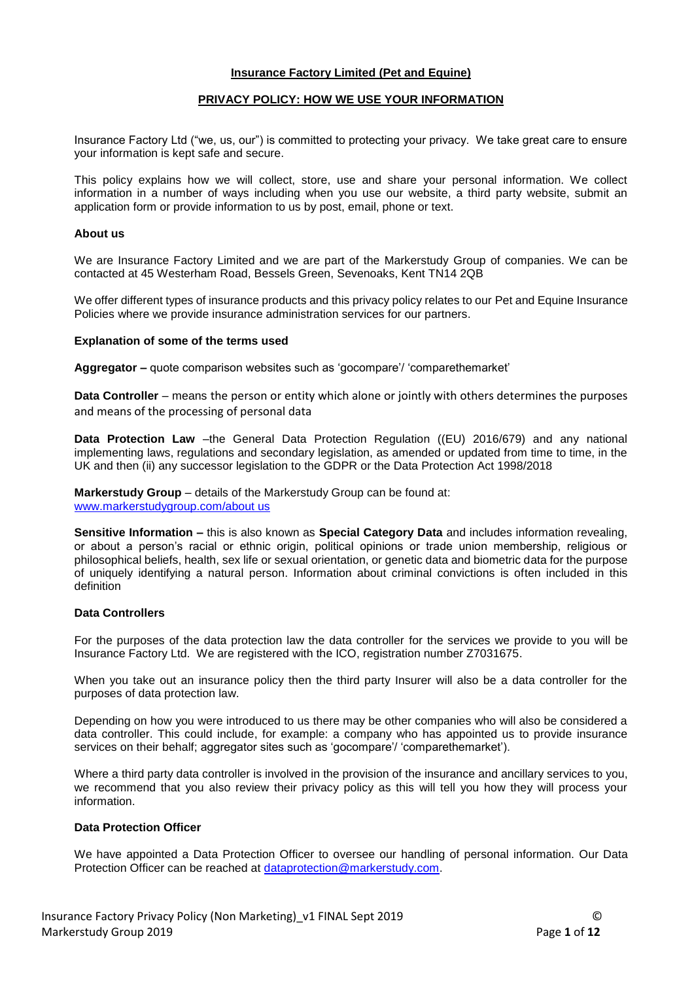### **Insurance Factory Limited (Pet and Equine)**

### **PRIVACY POLICY: HOW WE USE YOUR INFORMATION**

Insurance Factory Ltd ("we, us, our") is committed to protecting your privacy. We take great care to ensure your information is kept safe and secure.

This policy explains how we will collect, store, use and share your personal information. We collect information in a number of ways including when you use our website, a third party website, submit an application form or provide information to us by post, email, phone or text.

### **About us**

We are Insurance Factory Limited and we are part of the Markerstudy Group of companies. We can be contacted at 45 Westerham Road, Bessels Green, Sevenoaks, Kent TN14 2QB

We offer different types of insurance products and this privacy policy relates to our Pet and Equine Insurance Policies where we provide insurance administration services for our partners.

### **Explanation of some of the terms used**

**Aggregator –** quote comparison websites such as 'gocompare'/ 'comparethemarket'

**Data Controller** – means the person or entity which alone or jointly with others determines the purposes and means of the processing of personal data

**Data Protection Law** –the General Data Protection Regulation ((EU) 2016/679) and any national implementing laws, regulations and secondary legislation, as amended or updated from time to time, in the UK and then (ii) any successor legislation to the GDPR or the Data Protection Act 1998/2018

**Markerstudy Group** – details of the Markerstudy Group can be found at: [www.markerstudygroup.com/about](http://www.markerstudygroup.com/about) us

**Sensitive Information –** this is also known as **Special Category Data** and includes information revealing, or about a person's racial or ethnic origin, political opinions or trade union membership, religious or philosophical beliefs, health, sex life or sexual orientation, or genetic data and biometric data for the purpose of uniquely identifying a natural person. Information about criminal convictions is often included in this definition

## **Data Controllers**

For the purposes of the data protection law the data controller for the services we provide to you will be Insurance Factory Ltd. We are registered with the ICO, registration number Z7031675.

When you take out an insurance policy then the third party Insurer will also be a data controller for the purposes of data protection law.

Depending on how you were introduced to us there may be other companies who will also be considered a data controller. This could include, for example: a company who has appointed us to provide insurance services on their behalf; aggregator sites such as 'gocompare'/ 'comparethemarket').

Where a third party data controller is involved in the provision of the insurance and ancillary services to you, we recommend that you also review their privacy policy as this will tell you how they will process your information.

#### **Data Protection Officer**

We have appointed a Data Protection Officer to oversee our handling of personal information. Our Data Protection Officer can be reached at [dataprotection@markerstudy.com.](mailto:dataprotection@markerstudy.com)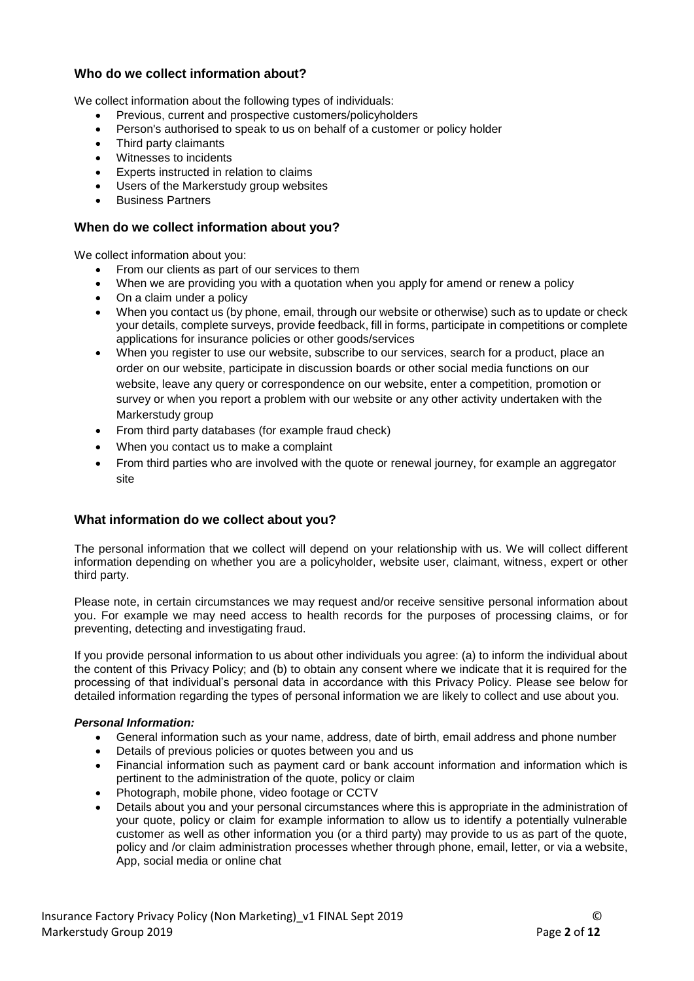# **Who do we collect information about?**

We collect information about the following types of individuals:

- Previous, current and prospective customers/policyholders
- Person's authorised to speak to us on behalf of a customer or policy holder
- Third party claimants
- Witnesses to incidents
- Experts instructed in relation to claims
- Users of the Markerstudy group websites
- Business Partners

## **When do we collect information about you?**

We collect information about you:

- From our clients as part of our services to them
- When we are providing you with a quotation when you apply for amend or renew a policy
- On a claim under a policy
- When you contact us (by phone, email, through our website or otherwise) such as to update or check your details, complete surveys, provide feedback, fill in forms, participate in competitions or complete applications for insurance policies or other goods/services
- When you register to use our website, subscribe to our services, search for a product, place an order on our website, participate in discussion boards or other social media functions on our website, leave any query or correspondence on our website, enter a competition, promotion or survey or when you report a problem with our website or any other activity undertaken with the Markerstudy group
- From third party databases (for example fraud check)
- When you contact us to make a complaint
- From third parties who are involved with the quote or renewal journey, for example an aggregator site

## **What information do we collect about you?**

The personal information that we collect will depend on your relationship with us. We will collect different information depending on whether you are a policyholder, website user, claimant, witness, expert or other third party.

Please note, in certain circumstances we may request and/or receive sensitive personal information about you. For example we may need access to health records for the purposes of processing claims, or for preventing, detecting and investigating fraud.

If you provide personal information to us about other individuals you agree: (a) to inform the individual about the content of this Privacy Policy; and (b) to obtain any consent where we indicate that it is required for the processing of that individual's personal data in accordance with this Privacy Policy. Please see below for detailed information regarding the types of personal information we are likely to collect and use about you.

## *Personal Information:*

- General information such as your name, address, date of birth, email address and phone number
- Details of previous policies or quotes between you and us
- Financial information such as payment card or bank account information and information which is pertinent to the administration of the quote, policy or claim
- Photograph, mobile phone, video footage or CCTV
- Details about you and your personal circumstances where this is appropriate in the administration of your quote, policy or claim for example information to allow us to identify a potentially vulnerable customer as well as other information you (or a third party) may provide to us as part of the quote, policy and /or claim administration processes whether through phone, email, letter, or via a website, App, social media or online chat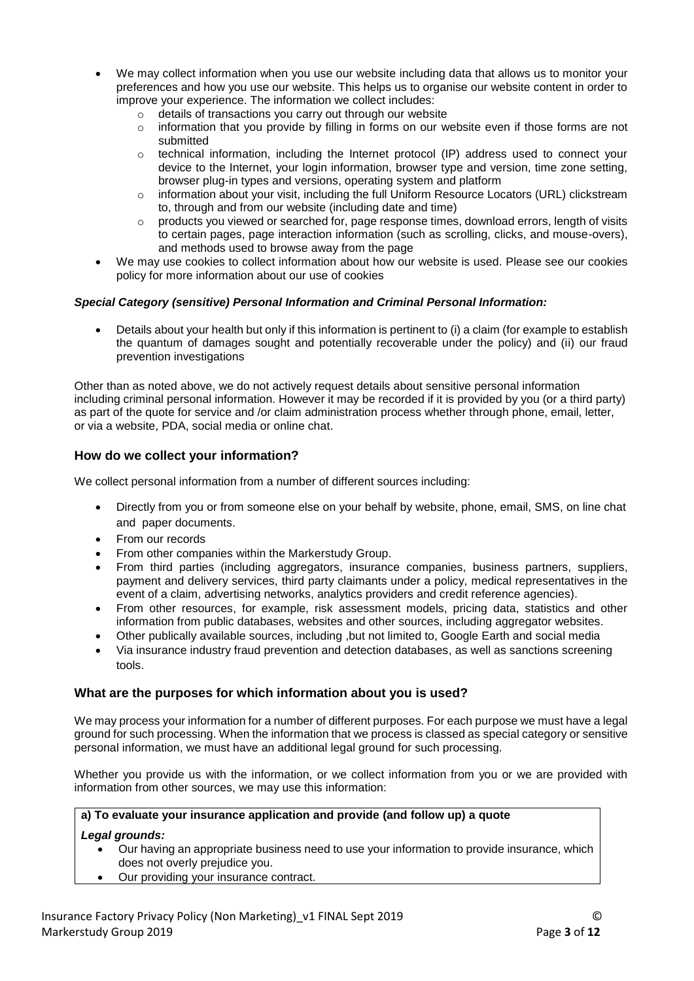- We may collect information when you use our website including data that allows us to monitor your preferences and how you use our website. This helps us to organise our website content in order to improve your experience. The information we collect includes:
	- o details of transactions you carry out through our website
	- $\circ$  information that you provide by filling in forms on our website even if those forms are not submitted
	- $\circ$  technical information, including the Internet protocol (IP) address used to connect your device to the Internet, your login information, browser type and version, time zone setting, browser plug-in types and versions, operating system and platform
	- o information about your visit, including the full Uniform Resource Locators (URL) clickstream to, through and from our website (including date and time)
	- o products you viewed or searched for, page response times, download errors, length of visits to certain pages, page interaction information (such as scrolling, clicks, and mouse-overs), and methods used to browse away from the page
- We may use cookies to collect information about how our website is used. Please see our cookies policy for more information about our use of cookies

# *Special Category (sensitive) Personal Information and Criminal Personal Information:*

 Details about your health but only if this information is pertinent to (i) a claim (for example to establish the quantum of damages sought and potentially recoverable under the policy) and (ii) our fraud prevention investigations

Other than as noted above, we do not actively request details about sensitive personal information including criminal personal information. However it may be recorded if it is provided by you (or a third party) as part of the quote for service and /or claim administration process whether through phone, email, letter, or via a website, PDA, social media or online chat.

# **How do we collect your information?**

We collect personal information from a number of different sources including:

- Directly from you or from someone else on your behalf by website, phone, email, SMS, on line chat and paper documents.
- From our records
- From other companies within the Markerstudy Group.
- From third parties (including aggregators, insurance companies, business partners, suppliers, payment and delivery services, third party claimants under a policy, medical representatives in the event of a claim, advertising networks, analytics providers and credit reference agencies).
- From other resources, for example, risk assessment models, pricing data, statistics and other information from public databases, websites and other sources, including aggregator websites.
- Other publically available sources, including ,but not limited to, Google Earth and social media
- Via insurance industry fraud prevention and detection databases, as well as sanctions screening tools.

# **What are the purposes for which information about you is used?**

We may process your information for a number of different purposes. For each purpose we must have a legal ground for such processing. When the information that we process is classed as special category or sensitive personal information, we must have an additional legal ground for such processing.

Whether you provide us with the information, or we collect information from you or we are provided with information from other sources, we may use this information:

## **a) To evaluate your insurance application and provide (and follow up) a quote**

## *Legal grounds:*

- Our having an appropriate business need to use your information to provide insurance, which does not overly prejudice you.
- Our providing your insurance contract.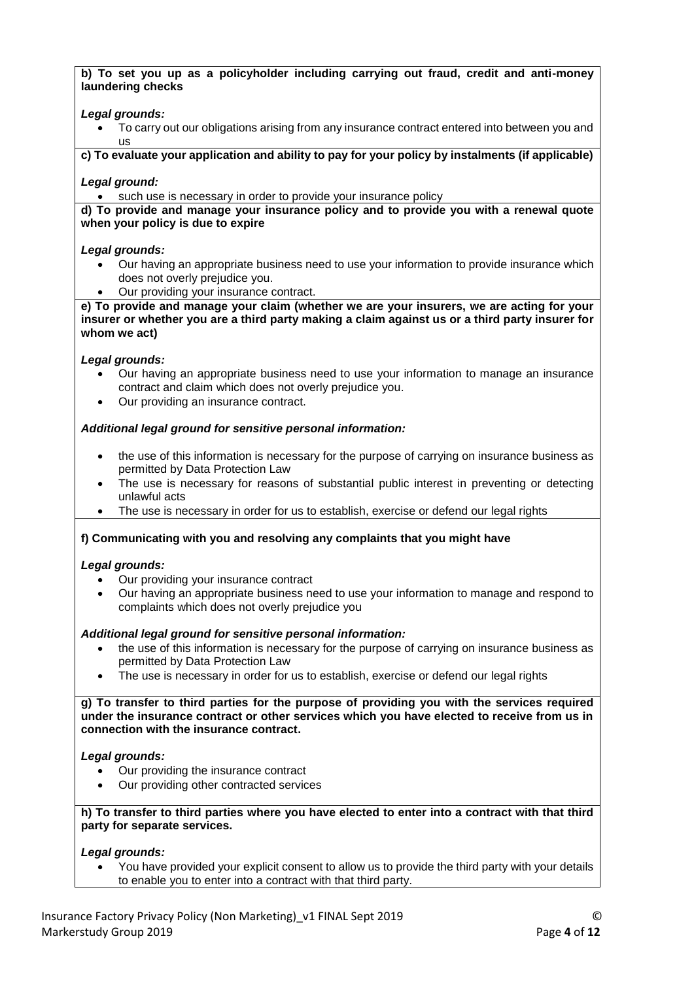**b) To set you up as a policyholder including carrying out fraud, credit and anti-money laundering checks**

### *Legal grounds:*

 To carry out our obligations arising from any insurance contract entered into between you and us

**c) To evaluate your application and ability to pay for your policy by instalments (if applicable)** 

### *Legal ground:*

such use is necessary in order to provide your insurance policy

### **d) To provide and manage your insurance policy and to provide you with a renewal quote when your policy is due to expire**

### *Legal grounds:*

- Our having an appropriate business need to use your information to provide insurance which does not overly prejudice you.
- Our providing your insurance contract.

**e) To provide and manage your claim (whether we are your insurers, we are acting for your insurer or whether you are a third party making a claim against us or a third party insurer for whom we act)**

### *Legal grounds:*

- Our having an appropriate business need to use your information to manage an insurance contract and claim which does not overly prejudice you.
- Our providing an insurance contract.

## *Additional legal ground for sensitive personal information:*

- the use of this information is necessary for the purpose of carrying on insurance business as permitted by Data Protection Law
- The use is necessary for reasons of substantial public interest in preventing or detecting unlawful acts
- The use is necessary in order for us to establish, exercise or defend our legal rights

## **f) Communicating with you and resolving any complaints that you might have**

#### *Legal grounds:*

- Our providing your insurance contract
- Our having an appropriate business need to use your information to manage and respond to complaints which does not overly prejudice you

#### *Additional legal ground for sensitive personal information:*

- the use of this information is necessary for the purpose of carrying on insurance business as permitted by Data Protection Law
- The use is necessary in order for us to establish, exercise or defend our legal rights

**g) To transfer to third parties for the purpose of providing you with the services required under the insurance contract or other services which you have elected to receive from us in connection with the insurance contract.** 

#### *Legal grounds:*

- Our providing the insurance contract
- Our providing other contracted services

**h) To transfer to third parties where you have elected to enter into a contract with that third party for separate services.**

## *Legal grounds:*

 You have provided your explicit consent to allow us to provide the third party with your details to enable you to enter into a contract with that third party.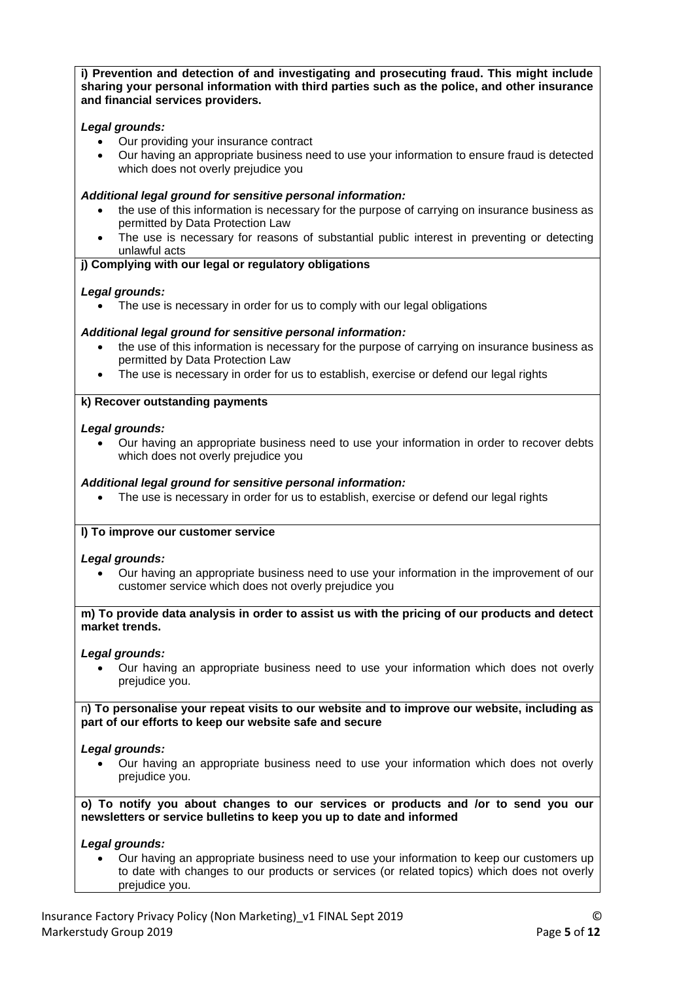**i) Prevention and detection of and investigating and prosecuting fraud. This might include sharing your personal information with third parties such as the police, and other insurance and financial services providers.**

# *Legal grounds:*

- Our providing your insurance contract
- Our having an appropriate business need to use your information to ensure fraud is detected which does not overly prejudice you

# *Additional legal ground for sensitive personal information:*

- the use of this information is necessary for the purpose of carrying on insurance business as permitted by Data Protection Law
- The use is necessary for reasons of substantial public interest in preventing or detecting unlawful acts

## **j) Complying with our legal or regulatory obligations**

# *Legal grounds:*

• The use is necessary in order for us to comply with our legal obligations

# *Additional legal ground for sensitive personal information:*

- the use of this information is necessary for the purpose of carrying on insurance business as permitted by Data Protection Law
- The use is necessary in order for us to establish, exercise or defend our legal rights

# **k) Recover outstanding payments**

# *Legal grounds:*

 Our having an appropriate business need to use your information in order to recover debts which does not overly prejudice you

# *Additional legal ground for sensitive personal information:*

• The use is necessary in order for us to establish, exercise or defend our legal rights

## **l) To improve our customer service**

## *Legal grounds:*

 Our having an appropriate business need to use your information in the improvement of our customer service which does not overly prejudice you

**m) To provide data analysis in order to assist us with the pricing of our products and detect market trends.**

## *Legal grounds:*

 Our having an appropriate business need to use your information which does not overly prejudice you.

n**) To personalise your repeat visits to our website and to improve our website, including as part of our efforts to keep our website safe and secure**

## *Legal grounds:*

 Our having an appropriate business need to use your information which does not overly prejudice you.

**o) To notify you about changes to our services or products and /or to send you our newsletters or service bulletins to keep you up to date and informed**

## *Legal grounds:*

 Our having an appropriate business need to use your information to keep our customers up to date with changes to our products or services (or related topics) which does not overly prejudice you.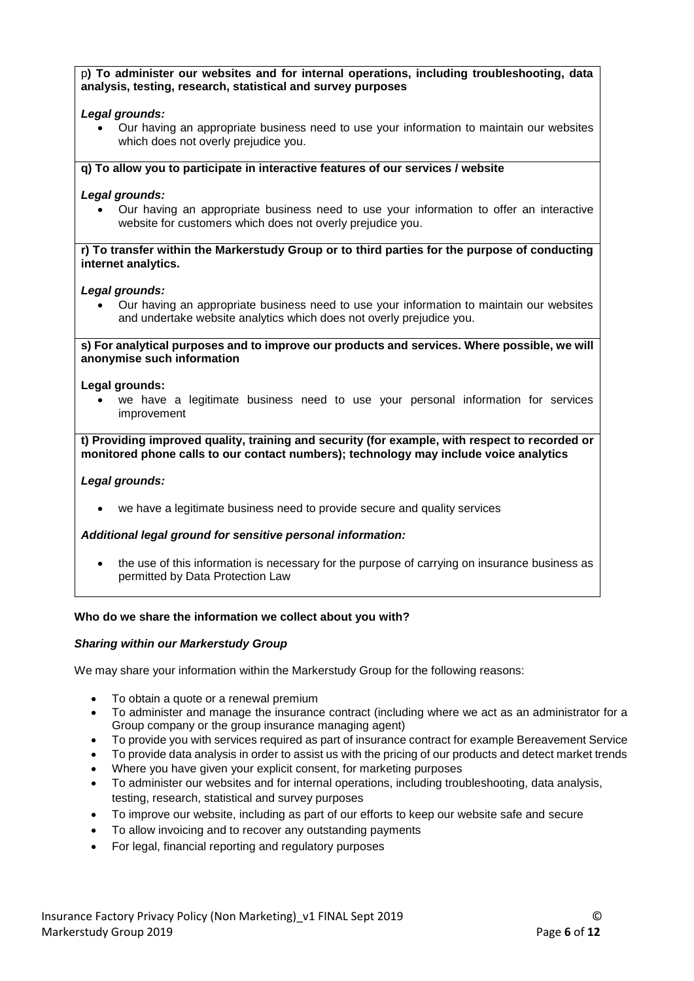### p**) To administer our websites and for internal operations, including troubleshooting, data analysis, testing, research, statistical and survey purposes**

# *Legal grounds:*

 Our having an appropriate business need to use your information to maintain our websites which does not overly prejudice you.

## **q) To allow you to participate in interactive features of our services / website**

# *Legal grounds:*

 Our having an appropriate business need to use your information to offer an interactive website for customers which does not overly prejudice you.

### **r) To transfer within the Markerstudy Group or to third parties for the purpose of conducting internet analytics.**

## *Legal grounds:*

 Our having an appropriate business need to use your information to maintain our websites and undertake website analytics which does not overly prejudice you.

**s) For analytical purposes and to improve our products and services. Where possible, we will anonymise such information**

### **Legal grounds:**

 we have a legitimate business need to use your personal information for services improvement

**t) Providing improved quality, training and security (for example, with respect to recorded or monitored phone calls to our contact numbers); technology may include voice analytics**

## *Legal grounds:*

we have a legitimate business need to provide secure and quality services

## *Additional legal ground for sensitive personal information:*

 the use of this information is necessary for the purpose of carrying on insurance business as permitted by Data Protection Law

## **Who do we share the information we collect about you with?**

## *Sharing within our Markerstudy Group*

We may share your information within the Markerstudy Group for the following reasons:

- To obtain a quote or a renewal premium
- To administer and manage the insurance contract (including where we act as an administrator for a Group company or the group insurance managing agent)
- To provide you with services required as part of insurance contract for example Bereavement Service
- To provide data analysis in order to assist us with the pricing of our products and detect market trends
- Where you have given your explicit consent, for marketing purposes
- To administer our websites and for internal operations, including troubleshooting, data analysis, testing, research, statistical and survey purposes
- To improve our website, including as part of our efforts to keep our website safe and secure
- To allow invoicing and to recover any outstanding payments
- For legal, financial reporting and regulatory purposes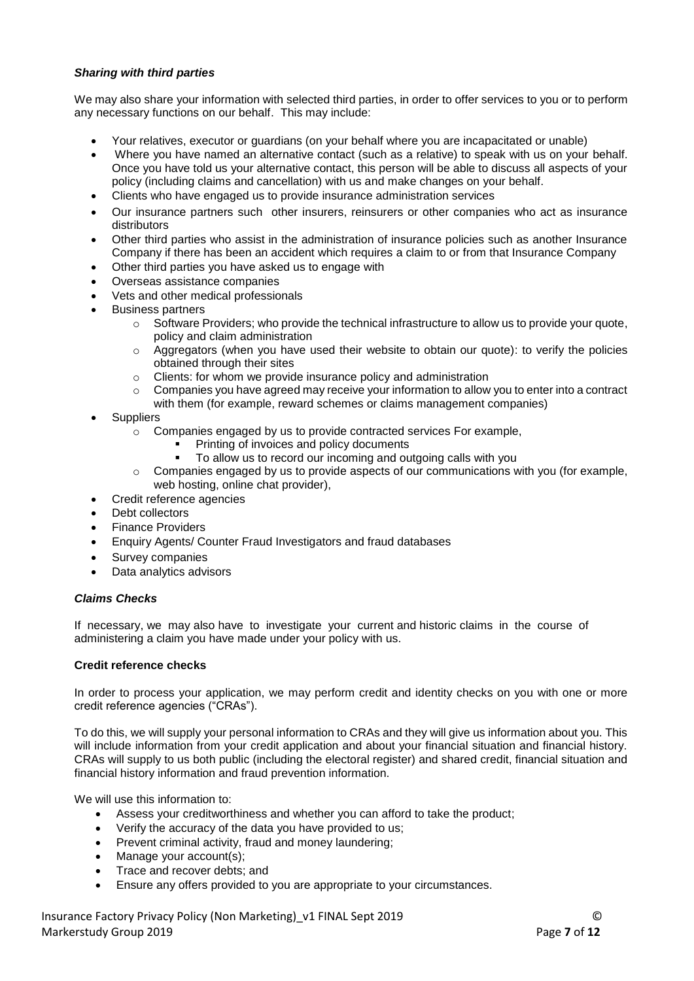# *Sharing with third parties*

We may also share your information with selected third parties, in order to offer services to you or to perform any necessary functions on our behalf. This may include:

- Your relatives, executor or guardians (on your behalf where you are incapacitated or unable)
- Where you have named an alternative contact (such as a relative) to speak with us on your behalf. Once you have told us your alternative contact, this person will be able to discuss all aspects of your policy (including claims and cancellation) with us and make changes on your behalf.
- Clients who have engaged us to provide insurance administration services
- Our insurance partners such other insurers, reinsurers or other companies who act as insurance distributors
- Other third parties who assist in the administration of insurance policies such as another Insurance Company if there has been an accident which requires a claim to or from that Insurance Company
- Other third parties you have asked us to engage with
- Overseas assistance companies
- Vets and other medical professionals
- Business partners
	- $\circ$  Software Providers; who provide the technical infrastructure to allow us to provide your quote, policy and claim administration
	- $\circ$  Aggregators (when you have used their website to obtain our quote): to verify the policies obtained through their sites
	- o Clients: for whom we provide insurance policy and administration
	- $\circ$  Companies you have agreed may receive your information to allow you to enter into a contract with them (for example, reward schemes or claims management companies)
- **Suppliers** 
	- o Companies engaged by us to provide contracted services For example,
		- Printing of invoices and policy documents
		- To allow us to record our incoming and outgoing calls with you
	- $\circ$  Companies engaged by us to provide aspects of our communications with you (for example, web hosting, online chat provider),
- Credit reference agencies
- Debt collectors
- Finance Providers
- Enquiry Agents/ Counter Fraud Investigators and fraud databases
- Survey companies
- Data analytics advisors

#### *Claims Checks*

If necessary, we may also have to investigate your current and historic claims in the course of administering a claim you have made under your policy with us.

#### **Credit reference checks**

In order to process your application, we may perform credit and identity checks on you with one or more credit reference agencies ("CRAs").

To do this, we will supply your personal information to CRAs and they will give us information about you. This will include information from your credit application and about your financial situation and financial history. CRAs will supply to us both public (including the electoral register) and shared credit, financial situation and financial history information and fraud prevention information.

We will use this information to:

- Assess your creditworthiness and whether you can afford to take the product;
- Verify the accuracy of the data you have provided to us;
- Prevent criminal activity, fraud and money laundering;
- Manage your account(s);
- Trace and recover debts; and
- Ensure any offers provided to you are appropriate to your circumstances.

Insurance Factory Privacy Policy (Non Marketing)\_v1 FINAL Sept 2019 © Markerstudy Group 2019 Page **7** of **12**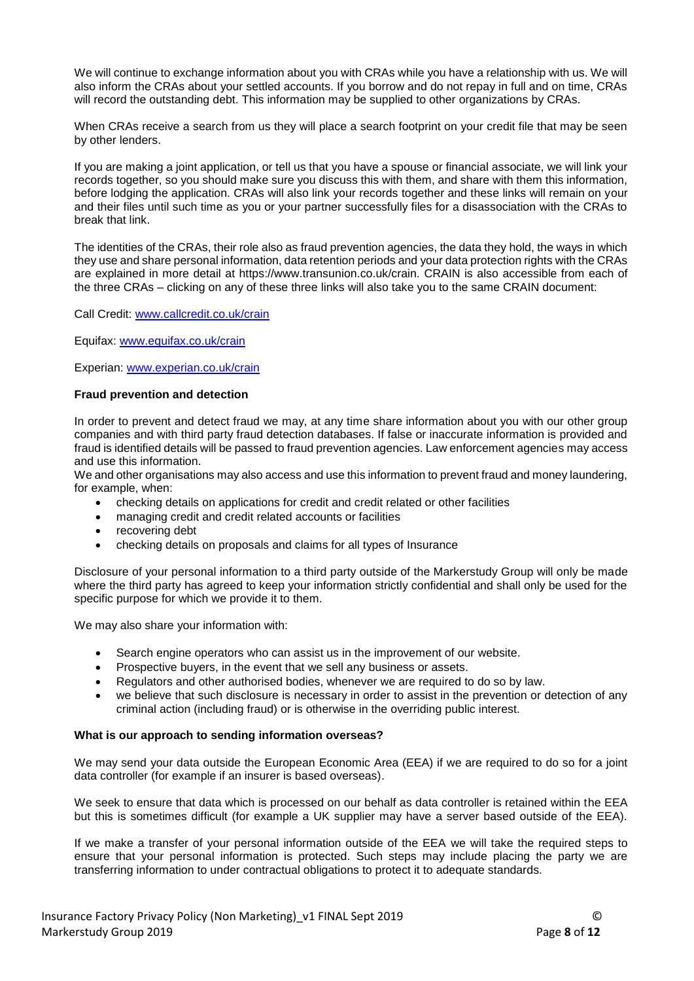We will continue to exchange information about you with CRAs while you have a relationship with us. We will also inform the CRAs about your settled accounts. If you borrow and do not repay in full and on time, CRAs will record the outstanding debt. This information may be supplied to other organizations by CRAs.

When CRAs receive a search from us they will place a search footprint on your credit file that may be seen by other lenders.

If you are making a joint application, or tell us that you have a spouse or financial associate, we will link your records together, so you should make sure you discuss this with them, and share with them this information, before lodging the application. CRAs will also link your records together and these links will remain on your and their files until such time as you or your partner successfully files for a disassociation with the CRAs to break that link.

The identities of the CRAs, their role also as fraud prevention agencies, the data they hold, the ways in which they use and share personal information, data retention periods and your data protection rights with the CRAs are explained in more detail at https://www.transunion.co.uk/crain. CRAIN is also accessible from each of the three CRAs – clicking on any of these three links will also take you to the same CRAIN document:

Call Credit: [www.callcredit.co.uk/crain](http://www.callcredit.co.uk/crain)

Equifax: [www.equifax.co.uk/crain](http://www.equifax.co.uk/crain)

Experian: [www.experian.co.uk/crain](http://www.experian.co.uk/crain)

#### **Fraud prevention and detection**

In order to prevent and detect fraud we may, at any time share information about you with our other group companies and with third party fraud detection databases. If false or inaccurate information is provided and fraud is identified details will be passed to fraud prevention agencies. Law enforcement agencies may access and use this information.

We and other organisations may also access and use this information to prevent fraud and money laundering, for example, when:

- checking details on applications for credit and credit related or other facilities
- managing credit and credit related accounts or facilities
- recovering debt
- checking details on proposals and claims for all types of Insurance

Disclosure of your personal information to a third party outside of the Markerstudy Group will only be made where the third party has agreed to keep your information strictly confidential and shall only be used for the specific purpose for which we provide it to them.

We may also share your information with:

- Search engine operators who can assist us in the improvement of our website.
- Prospective buyers, in the event that we sell any business or assets.
- Regulators and other authorised bodies, whenever we are required to do so by law.
- we believe that such disclosure is necessary in order to assist in the prevention or detection of any criminal action (including fraud) or is otherwise in the overriding public interest.

#### **What is our approach to sending information overseas?**

We may send your data outside the European Economic Area (EEA) if we are required to do so for a joint data controller (for example if an insurer is based overseas).

We seek to ensure that data which is processed on our behalf as data controller is retained within the EEA but this is sometimes difficult (for example a UK supplier may have a server based outside of the EEA).

If we make a transfer of your personal information outside of the EEA we will take the required steps to ensure that your personal information is protected. Such steps may include placing the party we are transferring information to under contractual obligations to protect it to adequate standards.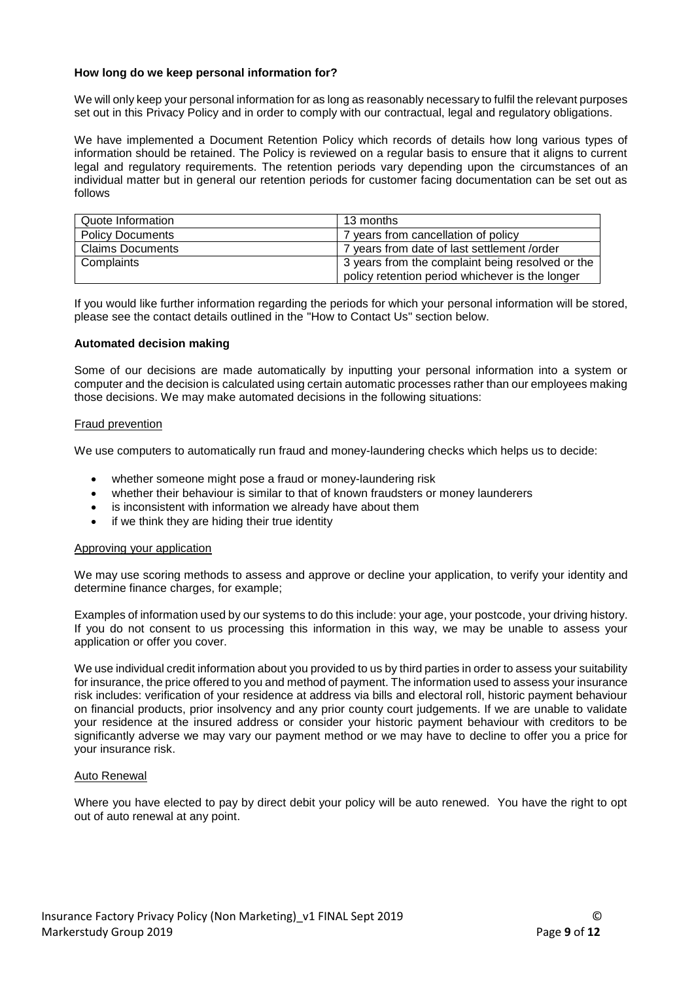### **How long do we keep personal information for?**

We will only keep your personal information for as long as reasonably necessary to fulfil the relevant purposes set out in this Privacy Policy and in order to comply with our contractual, legal and regulatory obligations.

We have implemented a Document Retention Policy which records of details how long various types of information should be retained. The Policy is reviewed on a regular basis to ensure that it aligns to current legal and regulatory requirements. The retention periods vary depending upon the circumstances of an individual matter but in general our retention periods for customer facing documentation can be set out as follows

| Quote Information       | 13 months                                        |
|-------------------------|--------------------------------------------------|
| <b>Policy Documents</b> | 7 years from cancellation of policy              |
| <b>Claims Documents</b> | 7 years from date of last settlement /order      |
| Complaints              | 3 years from the complaint being resolved or the |
|                         | policy retention period whichever is the longer  |

If you would like further information regarding the periods for which your personal information will be stored, please see the contact details outlined in the "How to Contact Us" section below.

#### **Automated decision making**

Some of our decisions are made automatically by inputting your personal information into a system or computer and the decision is calculated using certain automatic processes rather than our employees making those decisions. We may make automated decisions in the following situations:

#### Fraud prevention

We use computers to automatically run fraud and money-laundering checks which helps us to decide:

- whether someone might pose a fraud or money-laundering risk
- whether their behaviour is similar to that of known fraudsters or money launderers
- is inconsistent with information we already have about them
- if we think they are hiding their true identity

#### Approving your application

We may use scoring methods to assess and approve or decline your application, to verify your identity and determine finance charges, for example;

Examples of information used by our systems to do this include: your age, your postcode, your driving history. If you do not consent to us processing this information in this way, we may be unable to assess your application or offer you cover.

We use individual credit information about you provided to us by third parties in order to assess your suitability for insurance, the price offered to you and method of payment. The information used to assess your insurance risk includes: verification of your residence at address via bills and electoral roll, historic payment behaviour on financial products, prior insolvency and any prior county court judgements. If we are unable to validate your residence at the insured address or consider your historic payment behaviour with creditors to be significantly adverse we may vary our payment method or we may have to decline to offer you a price for your insurance risk.

#### Auto Renewal

Where you have elected to pay by direct debit your policy will be auto renewed. You have the right to opt out of auto renewal at any point.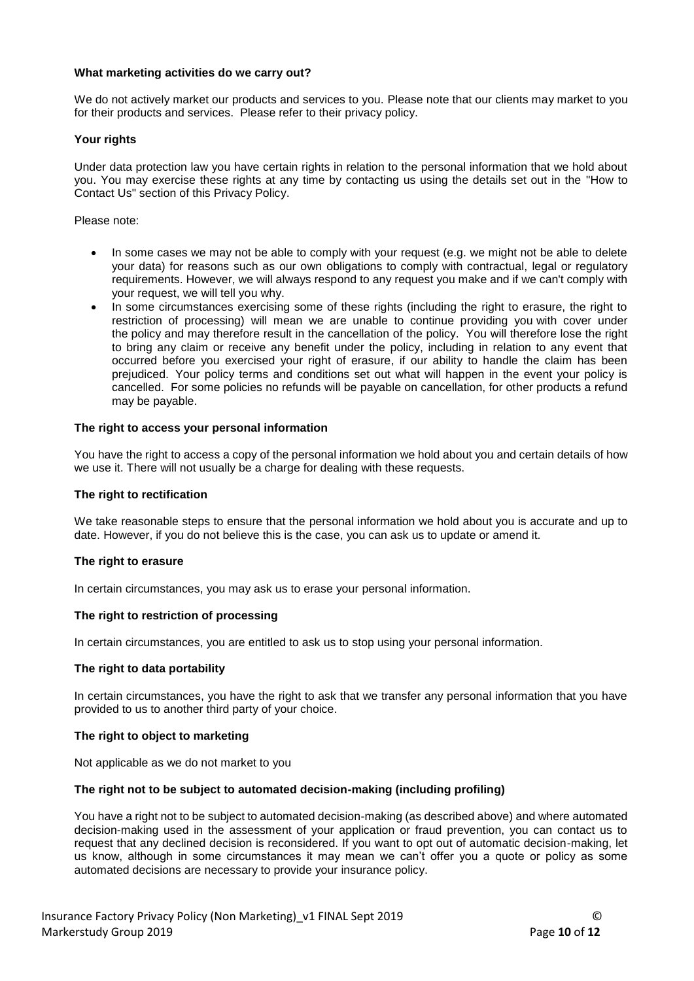### **What marketing activities do we carry out?**

We do not actively market our products and services to you. Please note that our clients may market to you for their products and services. Please refer to their privacy policy.

### **Your rights**

Under data protection law you have certain rights in relation to the personal information that we hold about you. You may exercise these rights at any time by contacting us using the details set out in the "How to Contact Us" section of this Privacy Policy.

Please note:

- In some cases we may not be able to comply with your request (e.g. we might not be able to delete your data) for reasons such as our own obligations to comply with contractual, legal or regulatory requirements. However, we will always respond to any request you make and if we can't comply with your request, we will tell you why.
- In some circumstances exercising some of these rights (including the right to erasure, the right to restriction of processing) will mean we are unable to continue providing you with cover under the policy and may therefore result in the cancellation of the policy. You will therefore lose the right to bring any claim or receive any benefit under the policy, including in relation to any event that occurred before you exercised your right of erasure, if our ability to handle the claim has been prejudiced. Your policy terms and conditions set out what will happen in the event your policy is cancelled. For some policies no refunds will be payable on cancellation, for other products a refund may be payable.

#### **The right to access your personal information**

You have the right to access a copy of the personal information we hold about you and certain details of how we use it. There will not usually be a charge for dealing with these requests.

#### **The right to rectification**

We take reasonable steps to ensure that the personal information we hold about you is accurate and up to date. However, if you do not believe this is the case, you can ask us to update or amend it.

#### **The right to erasure**

In certain circumstances, you may ask us to erase your personal information.

#### **The right to restriction of processing**

In certain circumstances, you are entitled to ask us to stop using your personal information.

### **The right to data portability**

In certain circumstances, you have the right to ask that we transfer any personal information that you have provided to us to another third party of your choice.

### **The right to object to marketing**

Not applicable as we do not market to you

#### **The right not to be subject to automated decision-making (including profiling)**

You have a right not to be subject to automated decision-making (as described above) and where automated decision-making used in the assessment of your application or fraud prevention, you can contact us to request that any declined decision is reconsidered. If you want to opt out of automatic decision-making, let us know, although in some circumstances it may mean we can't offer you a quote or policy as some automated decisions are necessary to provide your insurance policy.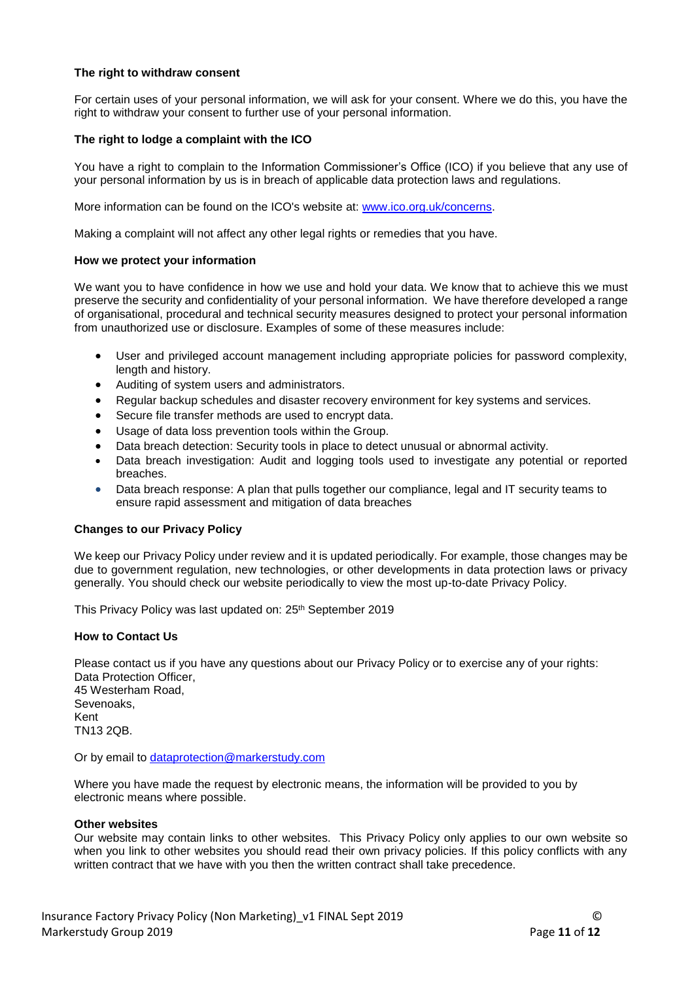### **The right to withdraw consent**

For certain uses of your personal information, we will ask for your consent. Where we do this, you have the right to withdraw your consent to further use of your personal information.

### **The right to lodge a complaint with the ICO**

You have a right to complain to the Information Commissioner's Office (ICO) if you believe that any use of your personal information by us is in breach of applicable data protection laws and regulations.

More information can be found on the ICO's website at: [www.ico.org.uk/concerns.](http://www.ico.org.uk/concerns)

Making a complaint will not affect any other legal rights or remedies that you have.

#### **How we protect your information**

We want you to have confidence in how we use and hold your data. We know that to achieve this we must preserve the security and confidentiality of your personal information. We have therefore developed a range of organisational, procedural and technical security measures designed to protect your personal information from unauthorized use or disclosure. Examples of some of these measures include:

- User and privileged account management including appropriate policies for password complexity, length and history.
- Auditing of system users and administrators.
- Regular backup schedules and disaster recovery environment for key systems and services.
- Secure file transfer methods are used to encrypt data.
- Usage of data loss prevention tools within the Group.
- Data breach detection: Security tools in place to detect unusual or abnormal activity.
- Data breach investigation: Audit and logging tools used to investigate any potential or reported breaches.
- Data breach response: A plan that pulls together our compliance, legal and IT security teams to ensure rapid assessment and mitigation of data breaches

#### **Changes to our Privacy Policy**

We keep our Privacy Policy under review and it is updated periodically. For example, those changes may be due to government regulation, new technologies, or other developments in data protection laws or privacy generally. You should check our website periodically to view the most up-to-date Privacy Policy.

This Privacy Policy was last updated on: 25<sup>th</sup> September 2019

#### **How to Contact Us**

Please contact us if you have any questions about our Privacy Policy or to exercise any of your rights: Data Protection Officer, 45 Westerham Road, Sevenoaks, Kent TN13 2QB.

Or by email to [dataprotection@markerstudy.com](mailto:dataprotection@markerstudy.com)

Where you have made the request by electronic means, the information will be provided to you by electronic means where possible.

#### **Other websites**

Our website may contain links to other websites. This Privacy Policy only applies to our own website so when you link to other websites you should read their own privacy policies. If this policy conflicts with any written contract that we have with you then the written contract shall take precedence.